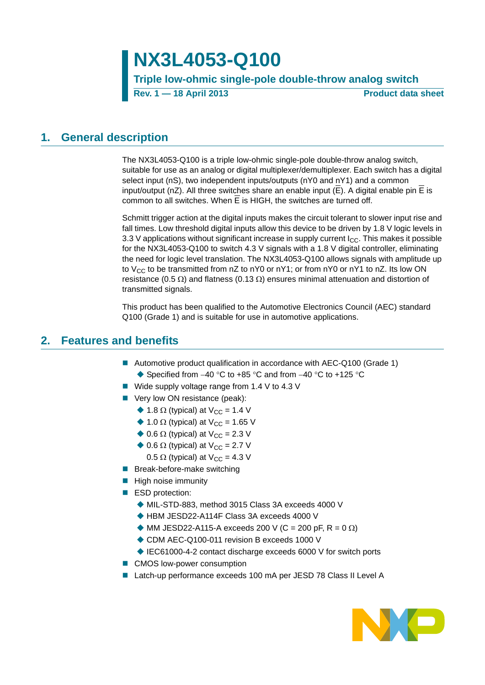# **NX3L4053-Q100**

**Triple low-ohmic single-pole double-throw analog switch**

**Rev. 1 — 18 April 2013 Product data sheet**

## <span id="page-0-0"></span>**1. General description**

The NX3L4053-Q100 is a triple low-ohmic single-pole double-throw analog switch, suitable for use as an analog or digital multiplexer/demultiplexer. Each switch has a digital select input (nS), two independent inputs/outputs (nY0 and nY1) and a common input/output (nZ). All three switches share an enable input ( $\overline{E}$ ). A digital enable pin  $\overline{E}$  is common to all switches. When E is HIGH, the switches are turned off.

Schmitt trigger action at the digital inputs makes the circuit tolerant to slower input rise and fall times. Low threshold digital inputs allow this device to be driven by 1.8 V logic levels in 3.3 V applications without significant increase in supply current  $I_{CC}$ . This makes it possible for the NX3L4053-Q100 to switch 4.3 V signals with a 1.8 V digital controller, eliminating the need for logic level translation. The NX3L4053-Q100 allows signals with amplitude up to V<sub>CC</sub> to be transmitted from  $nZ$  to nY0 or nY1; or from nY0 or nY1 to nZ. Its low ON resistance (0.5  $\Omega$ ) and flatness (0.13  $\Omega$ ) ensures minimal attenuation and distortion of transmitted signals.

This product has been qualified to the Automotive Electronics Council (AEC) standard Q100 (Grade 1) and is suitable for use in automotive applications.

### <span id="page-0-1"></span>**2. Features and benefits**

- Automotive product qualification in accordance with AEC-Q100 (Grade 1) ♦ Specified from  $-40$  °C to  $+85$  °C and from  $-40$  °C to  $+125$  °C
- Wide supply voltage range from 1.4 V to 4.3 V
- Very low ON resistance (peak):
	- $\triangle$  1.8  $\Omega$  (typical) at V<sub>CC</sub> = 1.4 V
	- $\triangle$  1.0  $\Omega$  (typical) at V<sub>CC</sub> = 1.65 V
	- $\triangle$  0.6  $\Omega$  (typical) at V<sub>CC</sub> = 2.3 V
	- $\triangle$  0.6  $\Omega$  (typical) at V<sub>CC</sub> = 2.7 V
		- 0.5  $\Omega$  (typical) at V<sub>CC</sub> = 4.3 V
- **Break-before-make switching**
- $\blacksquare$  High noise immunity
- ESD protection:
	- MIL-STD-883, method 3015 Class 3A exceeds 4000 V
	- ◆ HBM JESD22-A114F Class 3A exceeds 4000 V
	- $\blacklozenge$  MM JESD22-A115-A exceeds 200 V (C = 200 pF, R = 0  $\Omega$ )
	- ◆ CDM AEC-Q100-011 revision B exceeds 1000 V
	- ◆ IEC61000-4-2 contact discharge exceeds 6000 V for switch ports
- CMOS low-power consumption
- Latch-up performance exceeds 100 mA per JESD 78 Class II Level A

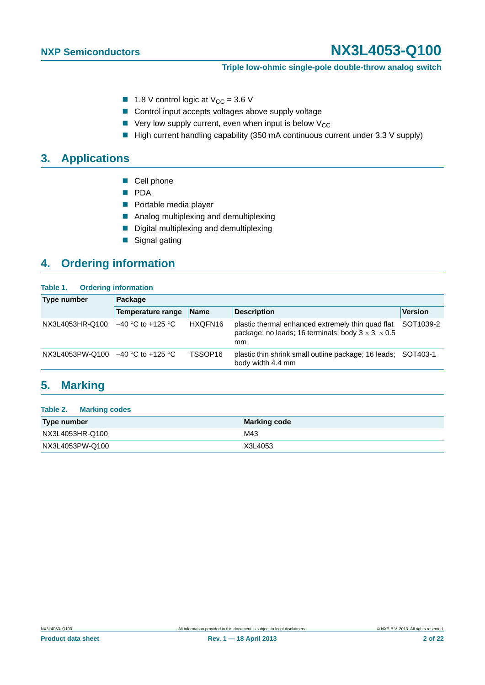#### **Triple low-ohmic single-pole double-throw analog switch**

- **1.8** V control logic at  $V_{CC} = 3.6$  V
- Control input accepts voltages above supply voltage
- $\blacksquare$  Very low supply current, even when input is below  $V_{CC}$
- $\blacksquare$  High current handling capability (350 mA continuous current under 3.3 V supply)

# <span id="page-1-0"></span>**3. Applications**

- Cell phone
- **PDA**
- **Portable media player**
- **Analog multiplexing and demultiplexing**
- Digital multiplexing and demultiplexing
- Signal gating

# <span id="page-1-1"></span>**4. Ordering information**

| Table 1. | <b>Ordering information</b> |
|----------|-----------------------------|
|----------|-----------------------------|

| Type number     | Package             |                     |                                                                                                                          |                |  |  |  |  |
|-----------------|---------------------|---------------------|--------------------------------------------------------------------------------------------------------------------------|----------------|--|--|--|--|
|                 | Temperature range   | <b>Name</b>         | <b>Description</b>                                                                                                       | <b>Version</b> |  |  |  |  |
| NX3L4053HR-Q100 | $-40$ °C to +125 °C | HXQFN16             | plastic thermal enhanced extremely thin quad flat<br>package; no leads; 16 terminals; body $3 \times 3 \times 0.5$<br>mm | SOT1039-2      |  |  |  |  |
| NX3L4053PW-Q100 | –40 °C to +125 °C   | TSSOP <sub>16</sub> | plastic thin shrink small outline package; 16 leads; SOT403-1<br>body width 4.4 mm                                       |                |  |  |  |  |

### <span id="page-1-2"></span>**5. Marking**

#### **Table 2. Marking codes**

| Type number     | <b>Marking code</b> |
|-----------------|---------------------|
| NX3L4053HR-Q100 | M43                 |
| NX3L4053PW-Q100 | X3L4053             |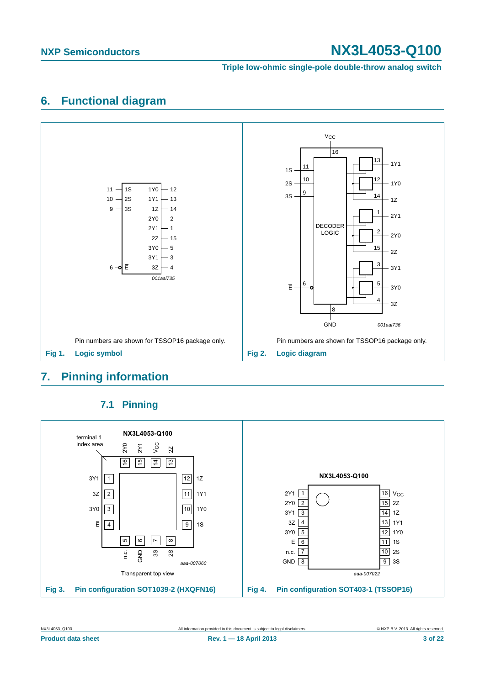**Triple low-ohmic single-pole double-throw analog switch**

## <span id="page-2-0"></span>**6. Functional diagram**



# <span id="page-2-1"></span>**7. Pinning information**

<span id="page-2-2"></span>

### **7.1 Pinning**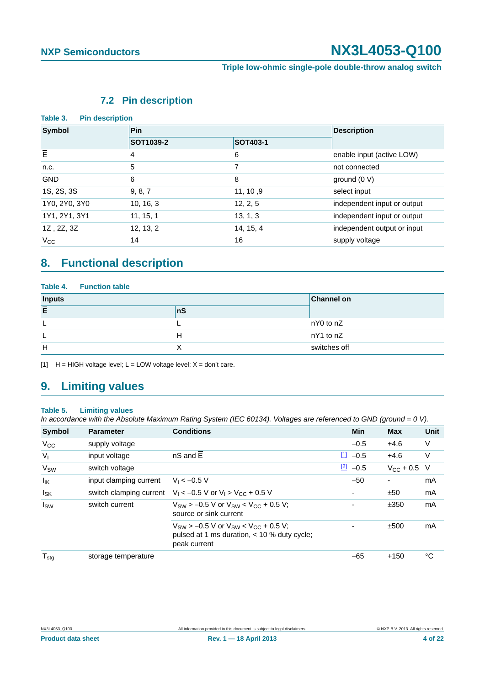#### **Triple low-ohmic single-pole double-throw analog switch**

## **7.2 Pin description**

<span id="page-3-0"></span>

| Table 3.<br><b>Pin description</b> |                  |                 |                             |
|------------------------------------|------------------|-----------------|-----------------------------|
| Symbol                             | <b>Pin</b>       |                 | <b>Description</b>          |
|                                    | <b>SOT1039-2</b> | <b>SOT403-1</b> |                             |
| $\overline{E}$                     | 4                | 6               | enable input (active LOW)   |
| n.c.                               | 5                | 7               | not connected               |
| <b>GND</b>                         | 6                | 8               | ground $(0 V)$              |
| 1S, 2S, 3S                         | 9, 8, 7          | 11, 10, 9       | select input                |
| 1Y0, 2Y0, 3Y0                      | 10, 16, 3        | 12, 2, 5        | independent input or output |
| 1Y1, 2Y1, 3Y1                      | 11, 15, 1        | 13, 1, 3        | independent input or output |
| 1Z, 2Z, 3Z                         | 12, 13, 2        | 14, 15, 4       | independent output or input |
| $V_{\rm CC}$                       | 14               | 16              | supply voltage              |

## <span id="page-3-1"></span>**8. Functional description**

#### **Table 4. Function table**

| <b>Inputs</b> | <b>Channel on</b> |              |
|---------------|-------------------|--------------|
| E             | nS                |              |
|               |                   | nY0 to nZ    |
|               | н                 | nY1 to nZ    |
| H             |                   | switches off |

[1]  $H = HIGH$  voltage level;  $L = LOW$  voltage level;  $X = don't$  care.

### <span id="page-3-2"></span>**9. Limiting values**

#### **Table 5. Limiting values**

*In accordance with the Absolute Maximum Rating System (IEC 60134). Voltages are referenced to GND (ground = 0 V).*

| Symbol            | <b>Parameter</b>        | <b>Conditions</b>                                                                                                | Min                   | <b>Max</b>       | Unit |
|-------------------|-------------------------|------------------------------------------------------------------------------------------------------------------|-----------------------|------------------|------|
| $V_{CC}$          | supply voltage          |                                                                                                                  | $-0.5$                | $+4.6$           | V    |
| V <sub>1</sub>    | input voltage           | nS and E                                                                                                         | $\boxed{1}$<br>$-0.5$ | $+4.6$           | V    |
| V <sub>SW</sub>   | switch voltage          |                                                                                                                  | $\boxed{2}$<br>$-0.5$ | $V_{CC}$ + 0.5 V |      |
| $I_{\mathsf{IK}}$ | input clamping current  | $V_1 < -0.5 V$                                                                                                   | $-50$                 | $\blacksquare$   | mA   |
| $I_{SK}$          | switch clamping current | $V_1 < -0.5$ V or $V_1 > V_{CC} + 0.5$ V                                                                         |                       | ±50              | mA   |
| $I_{SW}$          | switch current          | $V_{SW}$ > -0.5 V or $V_{SW}$ < $V_{CC}$ + 0.5 V;<br>source or sink current                                      | ٠                     | ±350             | mA   |
|                   |                         | $V_{SW}$ > -0.5 V or $V_{SW}$ < $V_{CC}$ + 0.5 V;<br>pulsed at 1 ms duration, < 10 % duty cycle;<br>peak current |                       | ±500             | mA   |
| $T_{\text{stg}}$  | storage temperature     |                                                                                                                  | $-65$                 | $+150$           | °C   |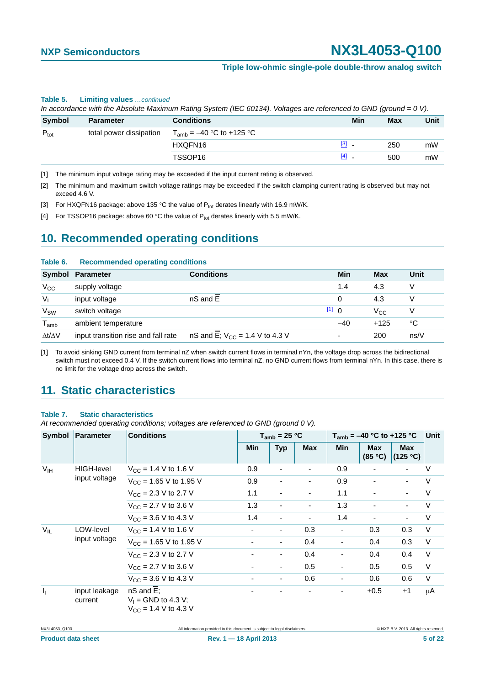#### **Triple low-ohmic single-pole double-throw analog switch**

#### **Table 5. Limiting values** *…continued*

*In accordance with the Absolute Maximum Rating System (IEC 60134). Voltages are referenced to GND (ground = 0 V).*

| Symbol                                      | <b>Parameter</b> | <b>Conditions</b>             | Min                                 | Max | Unit |
|---------------------------------------------|------------------|-------------------------------|-------------------------------------|-----|------|
| $P_{\text{tot}}$<br>total power dissipation |                  | $T_{amb}$ = -40 °C to +125 °C |                                     |     |      |
|                                             |                  | HXQFN16                       | $\begin{bmatrix} 3 \end{bmatrix}$ . | 250 | mW   |
|                                             |                  | TSSOP16                       | $[4]$<br>$\overline{\phantom{a}}$   | 500 | mW   |

<span id="page-4-0"></span>[1] The minimum input voltage rating may be exceeded if the input current rating is observed.

<span id="page-4-1"></span>[2] The minimum and maximum switch voltage ratings may be exceeded if the switch clamping current rating is observed but may not exceed 4.6 V.

<span id="page-4-2"></span>[3] For HXQFN16 package: above 135 °C the value of  $P_{tot}$  derates linearly with 16.9 mW/K.

<span id="page-4-3"></span>[4] For TSSOP16 package: above 60 °C the value of  $P_{tot}$  derates linearly with 5.5 mW/K.

### <span id="page-4-5"></span>**10. Recommended operating conditions**

#### **Table 6. Recommended operating conditions**

|                             | Symbol Parameter                    | <b>Conditions</b>                   | Min   | Max          | Unit |
|-----------------------------|-------------------------------------|-------------------------------------|-------|--------------|------|
| $V_{\rm CC}$                | supply voltage                      |                                     | 1.4   | 4.3          | V    |
| $V_{1}$                     | input voltage                       | nS and E                            | 0     | 4.3          | V    |
| $V_{SW}$                    | switch voltage                      |                                     | 110   | $V_{\rm CC}$ | v    |
| $\mathsf{T}_{\mathsf{amb}}$ | ambient temperature                 |                                     | $-40$ | $+125$       | °C   |
| $\Delta t/\Delta V$         | input transition rise and fall rate | nS and E; $V_{CC} = 1.4 V$ to 4.3 V |       | 200          | ns/V |

<span id="page-4-4"></span>[1] To avoid sinking GND current from terminal nZ when switch current flows in terminal nYn, the voltage drop across the bidirectional switch must not exceed 0.4 V. If the switch current flows into terminal nZ, no GND current flows from terminal nYn. In this case, there is no limit for the voltage drop across the switch.

## <span id="page-4-6"></span>**11. Static characteristics**

#### **Table 7. Static characteristics**

*At recommended operating conditions; voltages are referenced to GND (ground 0 V).*

| Symbol                    | Parameter                  | <b>Conditions</b>                                                                   |                          | $T_{amb}$ = 25 °C        |                          |                          | $T_{amb}$ = -40 °C to +125 °C |                          |        |
|---------------------------|----------------------------|-------------------------------------------------------------------------------------|--------------------------|--------------------------|--------------------------|--------------------------|-------------------------------|--------------------------|--------|
|                           |                            |                                                                                     | <b>Min</b>               | <b>Typ</b>               | <b>Max</b>               | <b>Min</b>               | <b>Max</b><br>(85 °C)         | <b>Max</b><br>(125 °C)   |        |
| V <sub>IH</sub>           | <b>HIGH-level</b>          | $V_{CC}$ = 1.4 V to 1.6 V                                                           | 0.9                      | $\overline{\phantom{a}}$ | $\overline{\phantom{a}}$ | 0.9                      |                               |                          | $\vee$ |
|                           | input voltage              | $V_{\text{CC}}$ = 1.65 V to 1.95 V                                                  | 0.9                      | ٠                        | $\overline{\phantom{0}}$ | 0.9                      |                               | $\overline{\phantom{0}}$ | V      |
|                           |                            | $V_{\text{CC}} = 2.3 \text{ V}$ to 2.7 V                                            | 1.1                      |                          |                          | 1.1                      |                               |                          | V      |
|                           |                            | $V_{CC}$ = 2.7 V to 3.6 V                                                           | 1.3                      | $\overline{\phantom{a}}$ |                          | 1.3                      |                               | ٠                        | V      |
|                           |                            | $V_{\text{CC}} = 3.6 \text{ V}$ to 4.3 V                                            | 1.4                      | ٠                        |                          | 1.4                      |                               | $\overline{\phantom{0}}$ | $\vee$ |
| $V_{IL}$                  | LOW-level<br>input voltage | $V_{CC}$ = 1.4 V to 1.6 V                                                           | $\overline{\phantom{a}}$ | $\overline{\phantom{a}}$ | 0.3                      | $\overline{\phantom{a}}$ | 0.3                           | 0.3                      | $\vee$ |
|                           |                            | $V_{\text{CC}}$ = 1.65 V to 1.95 V                                                  | ۰                        | $\overline{\phantom{a}}$ | 0.4                      |                          | 0.4                           | 0.3                      | $\vee$ |
|                           |                            | $V_{CC}$ = 2.3 V to 2.7 V                                                           | ٠                        | $\overline{\phantom{a}}$ | 0.4                      |                          | 0.4                           | 0.4                      | V      |
|                           |                            | $V_{CC}$ = 2.7 V to 3.6 V                                                           |                          | $\overline{\phantom{a}}$ | 0.5                      | ۰                        | 0.5                           | 0.5                      | V      |
|                           |                            | $V_{\text{CC}} = 3.6 \text{ V}$ to 4.3 V                                            | ۰                        | $\overline{\phantom{a}}$ | 0.6                      |                          | 0.6                           | 0.6                      | $\vee$ |
| $\mathbf{I}_{\mathbf{I}}$ | input leakage<br>current   | $nS$ and $E$ ;<br>$V_1$ = GND to 4.3 V;<br>$V_{\text{CC}} = 1.4 \text{ V}$ to 4.3 V |                          | ٠                        |                          | Ξ.                       | ±0.5                          | ±1                       | μA     |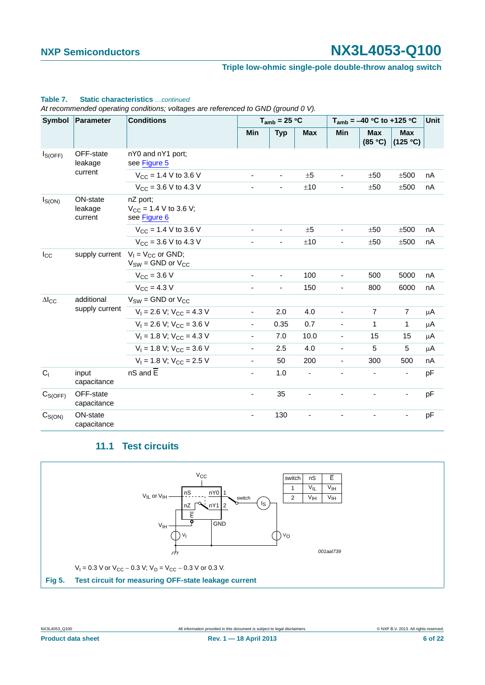#### **Triple low-ohmic single-pole double-throw analog switch**

### **Table 7. Static characteristics** *…continued*

*At recommended operating conditions; voltages are referenced to GND (ground 0 V).*

| Symbol          | Parameter                      | <b>Conditions</b>                                      |                          | $T_{amb}$ = 25 °C        |            |                          | $T_{amb}$ = -40 °C to +125 °C |                        |    |
|-----------------|--------------------------------|--------------------------------------------------------|--------------------------|--------------------------|------------|--------------------------|-------------------------------|------------------------|----|
|                 |                                |                                                        | Min                      | <b>Typ</b>               | <b>Max</b> | Min                      | <b>Max</b><br>(85 °C)         | <b>Max</b><br>(125 °C) |    |
| $I_{S(OFF)}$    | OFF-state<br>leakage           | nY0 and nY1 port;<br>see Figure 5                      |                          |                          |            |                          |                               |                        |    |
|                 | current                        | $V_{CC}$ = 1.4 V to 3.6 V                              | $\blacksquare$           | $\overline{\phantom{a}}$ | ±5         | $\blacksquare$           | ±50                           | ±500                   | nA |
|                 |                                | $V_{CC}$ = 3.6 V to 4.3 V                              | $\blacksquare$           | ÷,                       | ±10        | ٠                        | ±50                           | ±500                   | nA |
| $I_{S(ON)}$     | ON-state<br>leakage<br>current | nZ port;<br>$V_{CC}$ = 1.4 V to 3.6 V;<br>see Figure 6 |                          |                          |            |                          |                               |                        |    |
|                 |                                | $V_{CC}$ = 1.4 V to 3.6 V                              | $\overline{\phantom{a}}$ | ٠                        | ±5         | $\overline{\phantom{m}}$ | ±50                           | ±500                   | nA |
|                 |                                | $V_{CC}$ = 3.6 V to 4.3 V                              | $\overline{\phantom{a}}$ | $\overline{\phantom{a}}$ | ±10        | $\overline{\phantom{a}}$ | ±50                           | ±500                   | nA |
| $I_{\rm CC}$    | supply current                 | $V_1 = V_{CC}$ or GND;<br>$V_{SW}$ = GND or $V_{CC}$   |                          |                          |            |                          |                               |                        |    |
|                 |                                | $V_{CC}$ = 3.6 V                                       | $\overline{\phantom{a}}$ | $\overline{\phantom{a}}$ | 100        | $\blacksquare$           | 500                           | 5000                   | nA |
|                 |                                | $V_{\text{CC}} = 4.3 V$                                | ٠                        | ä,                       | 150        | $\overline{\phantom{a}}$ | 800                           | 6000                   | nA |
| $\Delta I_{CC}$ | additional                     | $V_{SW}$ = GND or $V_{CC}$                             |                          |                          |            |                          |                               |                        |    |
|                 | supply current                 | $V_1 = 2.6 V$ ; $V_{CC} = 4.3 V$                       | $\overline{\phantom{a}}$ | 2.0                      | 4.0        |                          | $\overline{7}$                | $\overline{7}$         | μA |
|                 |                                | $V_1 = 2.6 V$ ; $V_{CC} = 3.6 V$                       | $\blacksquare$           | 0.35                     | 0.7        |                          | $\mathbf{1}$                  | 1                      | μA |
|                 |                                | $V_1 = 1.8 V$ ; $V_{CC} = 4.3 V$                       | $\overline{\phantom{a}}$ | 7.0                      | 10.0       |                          | 15                            | 15                     | μA |
|                 |                                | $V_1 = 1.8$ V; $V_{CC} = 3.6$ V                        | $\blacksquare$           | 2.5                      | 4.0        | ÷.                       | 5                             | $\overline{5}$         | μA |
|                 |                                | $V_1 = 1.8 V$ ; $V_{CC} = 2.5 V$                       | $\overline{\phantom{a}}$ | 50                       | 200        | ÷.                       | 300                           | 500                    | nA |
| C <sub>1</sub>  | input<br>capacitance           | $nS$ and $E$                                           | $\blacksquare$           | 1.0                      | ÷,         |                          |                               | ٠                      | pF |
| $C_{S(OFF)}$    | OFF-state<br>capacitance       |                                                        | $\blacksquare$           | 35                       |            |                          |                               | $\blacksquare$         | pF |
| $C_{S(ON)}$     | ON-state<br>capacitance        |                                                        | ä,                       | 130                      |            |                          |                               |                        | pF |

### **11.1 Test circuits**

<span id="page-5-1"></span>

<span id="page-5-0"></span>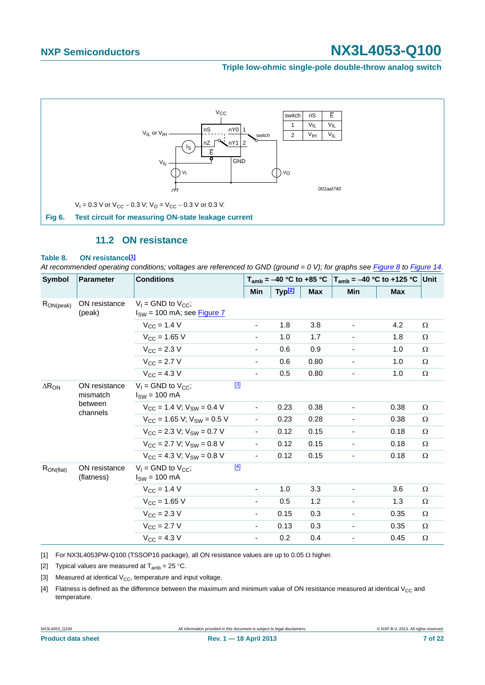#### **Triple low-ohmic single-pole double-throw analog switch**



### **11.2 ON resistance**

#### <span id="page-6-5"></span><span id="page-6-0"></span>**Table 8. ON resistanc[e\[1\]](#page-6-1)**

*At recommended operating conditions; voltages are referenced to GND (ground = 0 V); for graphs see [Figure 8](#page-7-0) to [Figure 14.](#page-9-0)*

| <b>Symbol</b>   | <b>Parameter</b>                                 | <b>Conditions</b>                                            |                          | $T_{amb}$ = -40 °C to +85 °C |            | $T_{amb}$ = -40 °C to +125 °C Unit |            |          |
|-----------------|--------------------------------------------------|--------------------------------------------------------------|--------------------------|------------------------------|------------|------------------------------------|------------|----------|
|                 |                                                  |                                                              | Min                      | Typ <sup>[2]</sup>           | <b>Max</b> | Min                                | <b>Max</b> |          |
| $R_{ON(peak)}$  | ON resistance<br>(peak)                          | $V_1$ = GND to $V_{CC}$ ;<br>$I_{SW}$ = 100 mA; see Figure 7 |                          |                              |            |                                    |            |          |
|                 |                                                  | $V_{CC}$ = 1.4 V                                             | -                        | 1.8                          | 3.8        | $\overline{\phantom{a}}$           | 4.2        | Ω        |
|                 |                                                  | $V_{CC} = 1.65 V$                                            | $\overline{\phantom{0}}$ | 1.0                          | 1.7        |                                    | 1.8        | Ω        |
|                 |                                                  | $V_{\rm CC}$ = 2.3 V                                         |                          | 0.6                          | 0.9        |                                    | 1.0        | $\Omega$ |
|                 |                                                  | $V_{\rm CC} = 2.7 V$                                         | ۰                        | 0.6                          | 0.80       | $\overline{\phantom{0}}$           | 1.0        | Ω        |
|                 |                                                  | $V_{\text{CC}} = 4.3 V$                                      | $\frac{1}{2}$            | 0.5                          | 0.80       | $\blacksquare$                     | 1.0        | Ω        |
| $\Delta R_{ON}$ | ON resistance<br>mismatch<br>between<br>channels | $V_1$ = GND to $V_{CC}$ ;<br>$I_{SW}$ = 100 mA               | $[3]$                    |                              |            |                                    |            |          |
|                 |                                                  | $V_{CC}$ = 1.4 V; $V_{SW}$ = 0.4 V                           | $\overline{\phantom{a}}$ | 0.23                         | 0.38       |                                    | 0.38       | Ω        |
|                 |                                                  | $V_{CC}$ = 1.65 V; $V_{SW}$ = 0.5 V                          | $\blacksquare$           | 0.23                         | 0.28       | $\overline{\phantom{a}}$           | 0.38       | Ω        |
|                 |                                                  | $V_{CC}$ = 2.3 V; $V_{SW}$ = 0.7 V                           | $\blacksquare$           | 0.12                         | 0.15       | $\overline{\phantom{0}}$           | 0.18       | $\Omega$ |
|                 |                                                  | $V_{CC}$ = 2.7 V; $V_{SW}$ = 0.8 V                           | $\overline{\phantom{0}}$ | 0.12                         | 0.15       | -                                  | 0.18       | Ω        |
|                 |                                                  | $V_{CC}$ = 4.3 V; $V_{SW}$ = 0.8 V                           | $\overline{\phantom{a}}$ | 0.12                         | 0.15       |                                    | 0.18       | Ω        |
| $R_{ON(flat)}$  | ON resistance<br>(flatness)                      | $V_1$ = GND to $V_{CC}$ ;<br>$I_{SW}$ = 100 mA               | $[4]$                    |                              |            |                                    |            |          |
|                 |                                                  | $V_{CC}$ = 1.4 V                                             |                          | 1.0                          | 3.3        |                                    | 3.6        | Ω        |
|                 |                                                  | $V_{CC}$ = 1.65 V                                            | -                        | 0.5                          | 1.2        |                                    | 1.3        | Ω        |
|                 |                                                  | $V_{CC}$ = 2.3 V                                             | $\overline{\phantom{0}}$ | 0.15                         | 0.3        | $\overline{\phantom{a}}$           | 0.35       | $\Omega$ |
|                 |                                                  | $V_{\rm CC} = 2.7 V$                                         | $\frac{1}{2}$            | 0.13                         | 0.3        | $\overline{\phantom{0}}$           | 0.35       | $\Omega$ |
|                 |                                                  | $V_{\text{CC}} = 4.3 V$                                      | -                        | 0.2                          | 0.4        | $\overline{\phantom{0}}$           | 0.45       | $\Omega$ |

<span id="page-6-1"></span>[1] For NX3L4053PW-Q100 (TSSOP16 package), all ON resistance values are up to 0.05  $\Omega$  higher.

<span id="page-6-2"></span>[2] Typical values are measured at  $T_{amb} = 25 \degree C$ .

<span id="page-6-3"></span>[3] Measured at identical  $V_{CC}$ , temperature and input voltage.

<span id="page-6-4"></span>[4] Flatness is defined as the difference between the maximum and minimum value of ON resistance measured at identical V<sub>CC</sub> and temperature.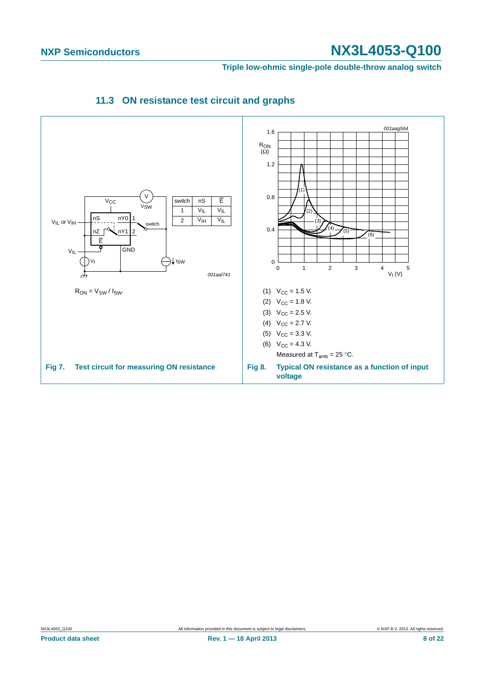<span id="page-7-0"></span>**Triple low-ohmic single-pole double-throw analog switch**

<span id="page-7-2"></span><span id="page-7-1"></span>

### **11.3 ON resistance test circuit and graphs**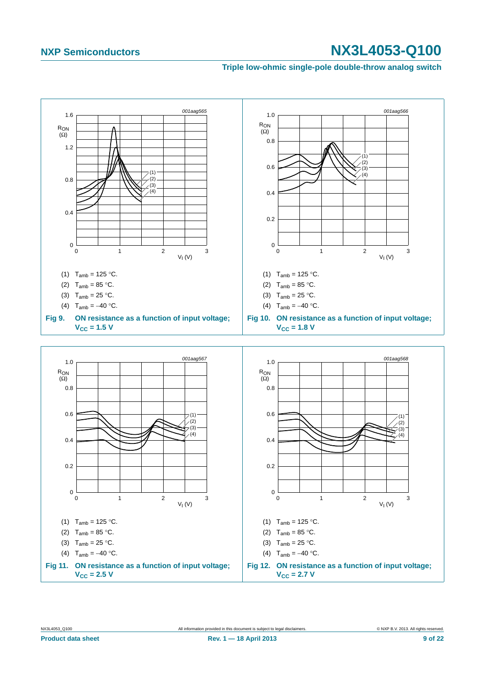#### **Triple low-ohmic single-pole double-throw analog switch**

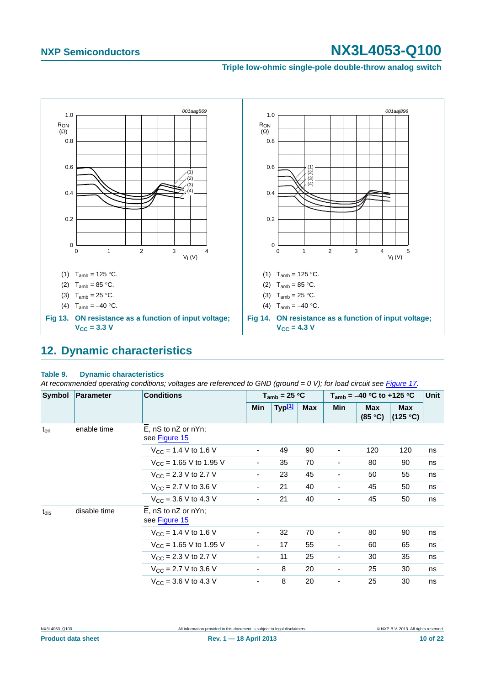#### **Triple low-ohmic single-pole double-throw analog switch**



### <span id="page-9-1"></span><span id="page-9-0"></span>**12. Dynamic characteristics**

#### **Table 9. Dynamic characteristics**

At recommended operating conditions; voltages are referenced to GND (ground = 0 V); for load circuit see [Figure 17.](#page-11-0)

| Symbol    | Parameter    | <b>Conditions</b>                        |                          | $T_{amb}$ = 25 °C  |            |                          | $T_{amb}$ = -40 °C to +125 °C |                        |    |  |
|-----------|--------------|------------------------------------------|--------------------------|--------------------|------------|--------------------------|-------------------------------|------------------------|----|--|
|           |              |                                          | Min                      | Typ <sup>[1]</sup> | <b>Max</b> | Min                      | <b>Max</b><br>(85 °C)         | <b>Max</b><br>(125 °C) |    |  |
| $t_{en}$  | enable time  | $E$ , nS to nZ or nYn;<br>see Figure 15  |                          |                    |            |                          |                               |                        |    |  |
|           |              | $V_{CC}$ = 1.4 V to 1.6 V                | $\overline{\phantom{a}}$ | 49                 | 90         | ٠                        | 120                           | 120                    | ns |  |
|           |              | $V_{CC}$ = 1.65 V to 1.95 V              | $\overline{\phantom{a}}$ | 35                 | 70         | $\overline{\phantom{a}}$ | 80                            | 90                     | ns |  |
|           |              | $V_{\text{CC}} = 2.3 \text{ V}$ to 2.7 V | $\overline{\phantom{a}}$ | 23                 | 45         | ٠                        | 50                            | 55                     | ns |  |
|           |              | $V_{CC}$ = 2.7 V to 3.6 V                | ۰                        | 21                 | 40         | ٠                        | 45                            | 50                     | ns |  |
|           |              | $V_{CC}$ = 3.6 V to 4.3 V                | $\overline{\phantom{a}}$ | 21                 | 40         |                          | 45                            | 50                     | ns |  |
| $t_{dis}$ | disable time | E, nS to nZ or nYn;<br>see Figure 15     |                          |                    |            |                          |                               |                        |    |  |
|           |              | $V_{CC}$ = 1.4 V to 1.6 V                | $\overline{\phantom{a}}$ | 32                 | 70         | ٠                        | 80                            | 90                     | ns |  |
|           |              | $V_{\text{CC}}$ = 1.65 V to 1.95 V       | $\overline{\phantom{a}}$ | 17                 | 55         | $\overline{\phantom{a}}$ | 60                            | 65                     | ns |  |
|           |              | $V_{CC}$ = 2.3 V to 2.7 V                | ۰                        | 11                 | 25         | ٠                        | 30                            | 35                     | ns |  |
|           |              | $V_{\text{CC}} = 2.7 \text{ V}$ to 3.6 V | ۰                        | 8                  | 20         | ٠                        | 25                            | 30                     | ns |  |
|           |              | $V_{\text{CC}} = 3.6 \text{ V}$ to 4.3 V | ۰                        | 8                  | 20         | ٠                        | 25                            | 30                     | ns |  |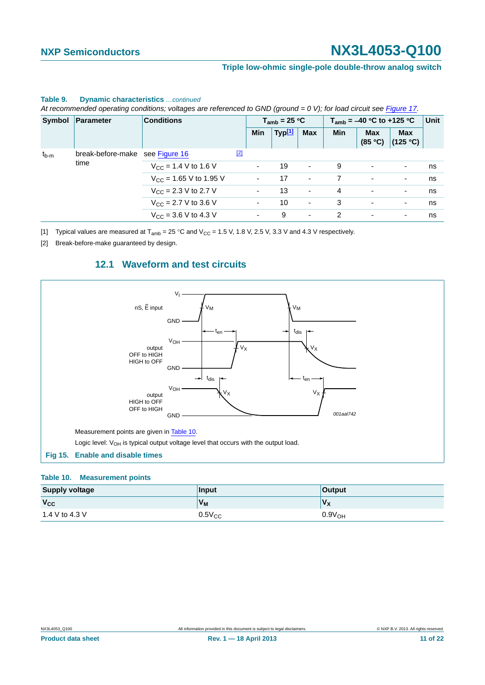#### **Triple low-ohmic single-pole double-throw analog switch**

|           | Symbol Parameter                        | <b>Conditions</b>                        | $T_{amb}$ = 25 °C |                |                    | $T_{amb}$ = -40 °C to +125 °C |            |            | Unit                               |    |
|-----------|-----------------------------------------|------------------------------------------|-------------------|----------------|--------------------|-------------------------------|------------|------------|------------------------------------|----|
|           |                                         |                                          |                   | Min            | Typ <sup>[1]</sup> | <b>Max</b>                    | <b>Min</b> | <b>Max</b> | <b>Max</b><br>$(85 °C)$ $(125 °C)$ |    |
| $t_{b-m}$ | break-before-make see Figure 16<br>time |                                          | $\boxed{2}$       |                |                    |                               |            |            |                                    |    |
|           |                                         | $V_{\text{CC}}$ = 1.4 V to 1.6 V         |                   |                | 19                 | $\overline{\phantom{a}}$      | 9          | ٠          | $\overline{\phantom{a}}$           | ns |
|           |                                         | $V_{CC}$ = 1.65 V to 1.95 V              |                   |                | 17                 | $\overline{\phantom{a}}$      |            | ٠          | ٠                                  | ns |
|           |                                         | $V_{\rm CC}$ = 2.3 V to 2.7 V            |                   |                | 13                 | $\overline{\phantom{a}}$      | 4          | ٠          | ٠                                  | ns |
|           |                                         | $V_{CC}$ = 2.7 V to 3.6 V                |                   | ۰.             | 10                 | $\overline{\phantom{a}}$      | 3          | ٠          | $\overline{\phantom{a}}$           | ns |
|           |                                         | $V_{\text{CC}} = 3.6 \text{ V}$ to 4.3 V |                   | $\blacksquare$ | 9                  | $\overline{\phantom{a}}$      | 2          | ٠          | ٠                                  | ns |

#### **Table 9. Dynamic characteristics** *…continued*

*At recommended operating conditions; voltages are referenced to GND (ground = 0 V); for load circuit see Figure 17.*

<span id="page-10-0"></span>[1] Typical values are measured at  $T_{amb} = 25 \degree C$  and  $V_{CC} = 1.5$  V, 1.8 V, 2.5 V, 3.3 V and 4.3 V respectively.

<span id="page-10-4"></span><span id="page-10-2"></span>[2] Break-before-make guaranteed by design.

### **12.1 Waveform and test circuits**



#### <span id="page-10-3"></span><span id="page-10-1"></span>**Table 10. Measurement points**

| <b>Supply voltage</b> | Input       | <b>Output</b>      |
|-----------------------|-------------|--------------------|
| $V_{\rm CC}$          | $V_{M}$     | $V_{\mathsf{X}}$   |
| 1.4 V to 4.3 V        | $0.5V_{CC}$ | 0.9V <sub>OH</sub> |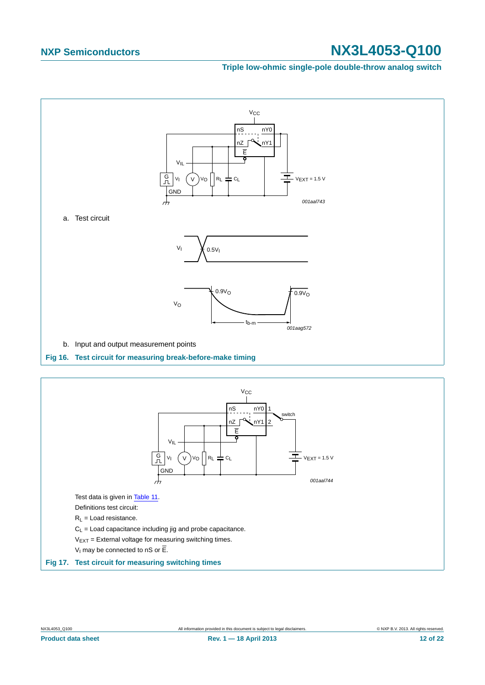#### **Triple low-ohmic single-pole double-throw analog switch**



<span id="page-11-1"></span>

<span id="page-11-0"></span>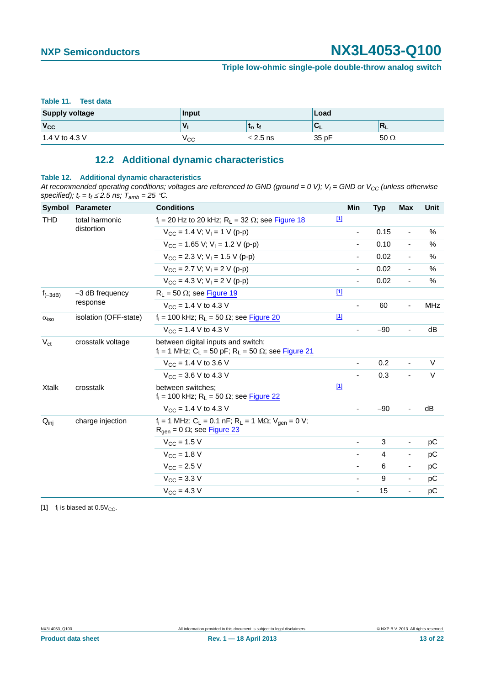#### **Triple low-ohmic single-pole double-throw analog switch**

#### <span id="page-12-0"></span>**Table 11. Test data**

| <b>Supply voltage</b> | Input       |                              | Load      |             |  |
|-----------------------|-------------|------------------------------|-----------|-------------|--|
| $V_{CC}$              | $\mathbf v$ | $\mathbf{t}_r, \mathbf{t}_r$ | <u>UL</u> | $R_L$       |  |
| 1.4 V to 4.3 V        | ∨сс         | $\leq$ 2.5 ns                | 35 pF     | $50 \Omega$ |  |

### **12.2 Additional dynamic characteristics**

#### <span id="page-12-2"></span>**Table 12. Additional dynamic characteristics**

At recommended operating conditions; voltages are referenced to GND (ground = 0 V);  $V_1$  = GND or  $V_{CC}$  (unless otherwise specified);  $t_r = t_f \leq 2.5$  ns;  $T_{amb} = 25$  °C.

| Symbol                  | <b>Parameter</b>              | <b>Conditions</b>                                                                                                         | Min                      | <b>Typ</b> | Max                      | Unit       |
|-------------------------|-------------------------------|---------------------------------------------------------------------------------------------------------------------------|--------------------------|------------|--------------------------|------------|
| <b>THD</b>              | total harmonic                | $f_i = 20$ Hz to 20 kHz; $R_i = 32 \Omega$ ; see Figure 18                                                                | $\boxed{1}$              |            |                          |            |
|                         | distortion                    | $V_{CC}$ = 1.4 V; V <sub>1</sub> = 1 V (p-p)                                                                              |                          | 0.15       | $\overline{\phantom{a}}$ | $\%$       |
|                         |                               | $V_{CC}$ = 1.65 V; V <sub>1</sub> = 1.2 V (p-p)                                                                           | $\overline{\phantom{m}}$ | 0.10       | $\blacksquare$           | %          |
|                         |                               | $V_{CC}$ = 2.3 V; V <sub>1</sub> = 1.5 V (p-p)                                                                            |                          | 0.02       | $\overline{\phantom{a}}$ | %          |
|                         |                               | $V_{CC}$ = 2.7 V; V <sub>1</sub> = 2 V (p-p)                                                                              |                          | 0.02       | $\overline{\phantom{a}}$ | $\%$       |
|                         |                               | $V_{CC} = 4.3 V: V_1 = 2 V (p-p)$                                                                                         |                          | 0.02       | $\overline{\phantom{a}}$ | $\%$       |
| $f_{(-3dB)}$            | $-3$ dB frequency<br>response | $R_L$ = 50 $\Omega$ ; see Figure 19                                                                                       | $\boxed{1}$              |            |                          |            |
|                         |                               | $V_{CC}$ = 1.4 V to 4.3 V                                                                                                 |                          | 60         | $\overline{\phantom{a}}$ | <b>MHz</b> |
| $\alpha$ <sub>iso</sub> | isolation (OFF-state)         | $f_i = 100$ kHz; R <sub>L</sub> = 50 $\Omega$ ; see Figure 20                                                             | $[1]$                    |            |                          |            |
|                         |                               | $V_{CC}$ = 1.4 V to 4.3 V                                                                                                 |                          | $-90$      | $\blacksquare$           | dB         |
| $V_{\rm ct}$            | crosstalk voltage             | between digital inputs and switch;<br>$f_i = 1$ MHz; C <sub>L</sub> = 50 pF; R <sub>L</sub> = 50 $\Omega$ ; see Figure 21 |                          |            |                          |            |
|                         |                               | $V_{CC}$ = 1.4 V to 3.6 V                                                                                                 |                          | 0.2        | $\overline{\phantom{a}}$ | $\vee$     |
|                         |                               | $V_{CC}$ = 3.6 V to 4.3 V                                                                                                 |                          | 0.3        | $\blacksquare$           | $\vee$     |
| <b>Xtalk</b>            | crosstalk                     | between switches:<br>$f_i$ = 100 kHz; R <sub>L</sub> = 50 $\Omega$ ; see Figure 22                                        | $\boxed{1}$              |            |                          |            |
|                         |                               | $V_{CC}$ = 1.4 V to 4.3 V                                                                                                 |                          | $-90$      | $\blacksquare$           | dB         |
| $Q_{\text{inj}}$        | charge injection              | $f_i = 1$ MHz; $C_L = 0.1$ nF; $R_L = 1$ M $\Omega$ ; $V_{gen} = 0$ V;<br>$R_{\text{qen}} = 0 \Omega$ ; see Figure 23     |                          |            |                          |            |
|                         |                               | $V_{CC}$ = 1.5 V                                                                                                          |                          | 3          | $\overline{\phantom{a}}$ | pC         |
|                         |                               | $V_{\text{CC}} = 1.8 \text{ V}$                                                                                           |                          | 4          | $\overline{\phantom{a}}$ | рC         |
|                         |                               | $V_{CC}$ = 2.5 V                                                                                                          | $\overline{\phantom{a}}$ | 6          | $\overline{\phantom{a}}$ | pC         |
|                         |                               | $V_{\text{CC}} = 3.3 \text{ V}$                                                                                           | $\overline{\phantom{a}}$ | 9          | $\overline{\phantom{a}}$ | pC         |
|                         |                               | $V_{\text{CC}} = 4.3 V$                                                                                                   | $\blacksquare$           | 15         | $\overline{\phantom{a}}$ | рC         |

<span id="page-12-1"></span>[1]  $f_i$  is biased at 0.5 $V_{CC}$ .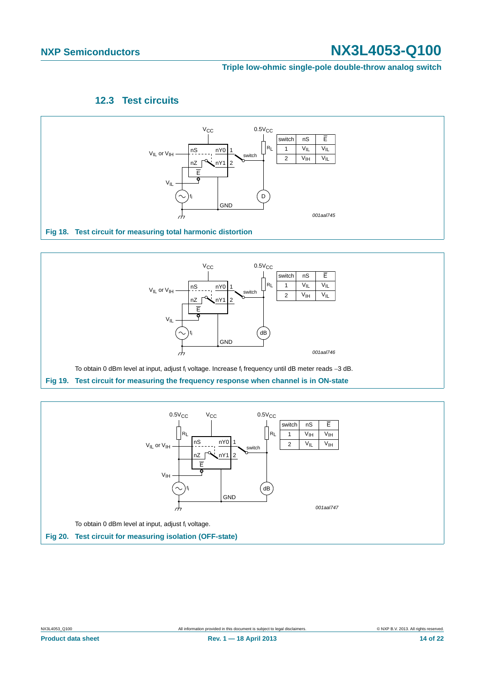### **Triple low-ohmic single-pole double-throw analog switch**

### **12.3 Test circuits**

<span id="page-13-3"></span>

<span id="page-13-0"></span>

<span id="page-13-2"></span><span id="page-13-1"></span>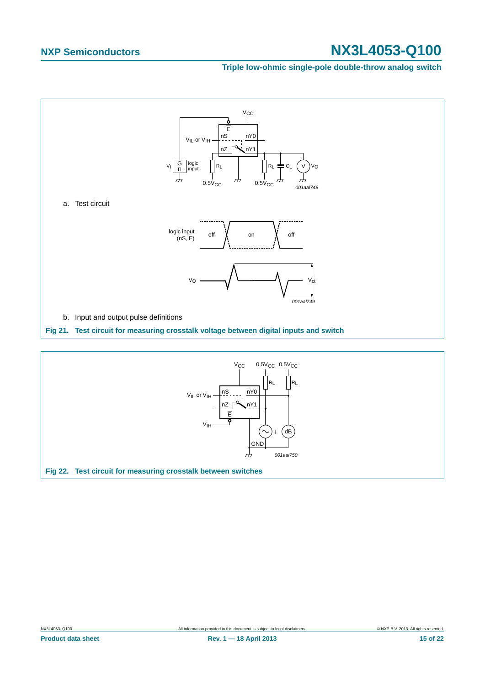#### **Triple low-ohmic single-pole double-throw analog switch**



<span id="page-14-1"></span><span id="page-14-0"></span>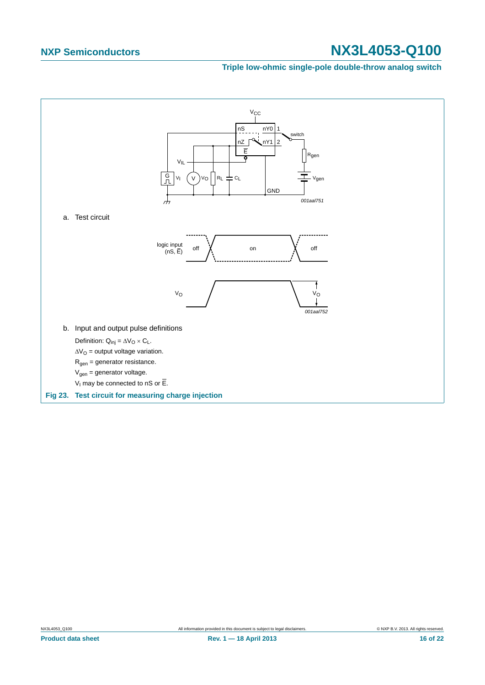#### **Triple low-ohmic single-pole double-throw analog switch**

<span id="page-15-0"></span>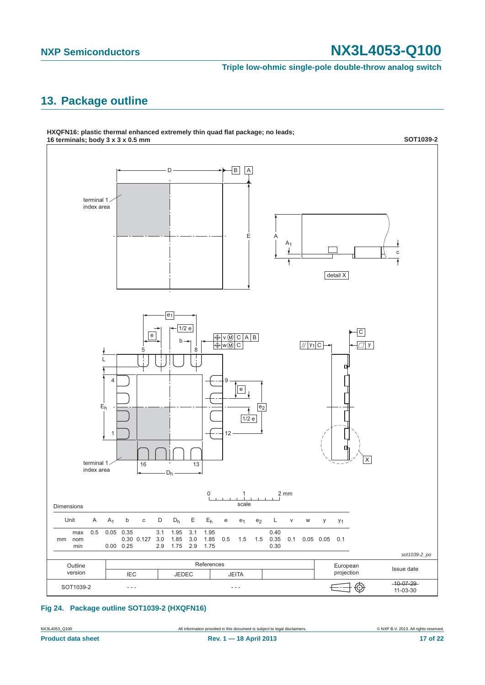**Triple low-ohmic single-pole double-throw analog switch**

# <span id="page-16-0"></span>**13. Package outline**



#### **Fig 24. Package outline SOT1039-2 (HXQFN16)**

NX3L4053\_Q100 All information provided in this document is subject to legal disclaimers. © NXP B.V. 2013. All rights reserved.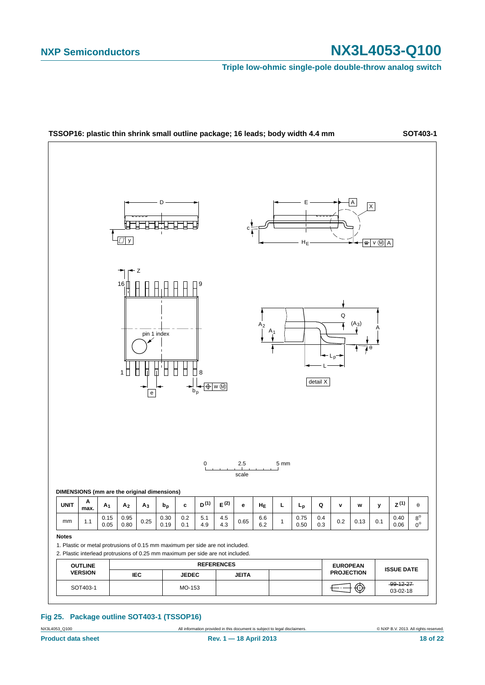**Triple low-ohmic single-pole double-throw analog switch**



#### **Fig 25. Package outline SOT403-1 (TSSOP16)**

NX3L4053\_Q100 **All information provided in this document is subject to legal disclaimers.** © NXP B.V. 2013. All rights reserved.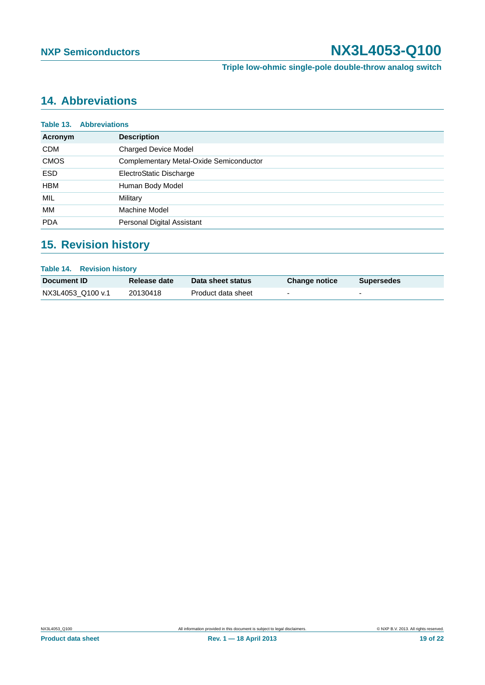**Triple low-ohmic single-pole double-throw analog switch**

# <span id="page-18-0"></span>**14. Abbreviations**

|             | <b>Table 13. Abbreviations</b>          |
|-------------|-----------------------------------------|
| Acronym     | <b>Description</b>                      |
| <b>CDM</b>  | <b>Charged Device Model</b>             |
| <b>CMOS</b> | Complementary Metal-Oxide Semiconductor |
| <b>ESD</b>  | ElectroStatic Discharge                 |
| <b>HBM</b>  | Human Body Model                        |
| <b>MIL</b>  | Military                                |
| МM          | Machine Model                           |
| <b>PDA</b>  | Personal Digital Assistant              |

# <span id="page-18-1"></span>**15. Revision history**

| <b>Table 14. Revision history</b> |              |                    |                          |                   |  |  |  |
|-----------------------------------|--------------|--------------------|--------------------------|-------------------|--|--|--|
| <b>Document ID</b>                | Release date | Data sheet status  | <b>Change notice</b>     | <b>Supersedes</b> |  |  |  |
| NX3L4053 Q100 v.1                 | 20130418     | Product data sheet | $\overline{\phantom{0}}$ |                   |  |  |  |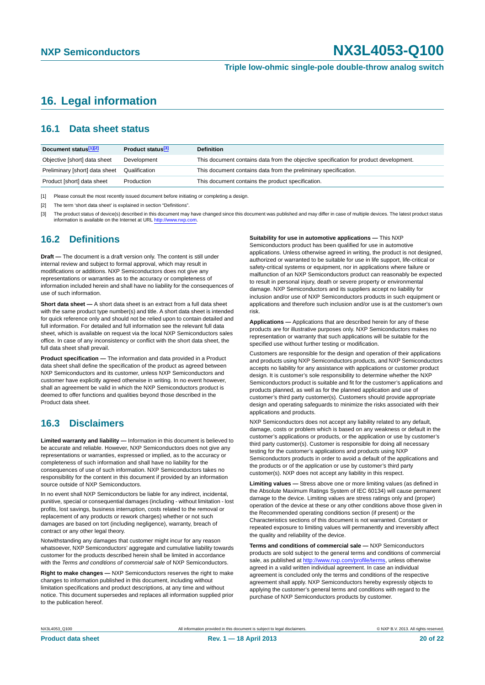**Triple low-ohmic single-pole double-throw analog switch**

# <span id="page-19-0"></span>**16. Legal information**

### <span id="page-19-1"></span>**16.1 Data sheet status**

| Document status[1][2]          | Product status <sup>[3]</sup> | <b>Definition</b>                                                                     |
|--------------------------------|-------------------------------|---------------------------------------------------------------------------------------|
| Objective [short] data sheet   | Development                   | This document contains data from the objective specification for product development. |
| Preliminary [short] data sheet | Qualification                 | This document contains data from the preliminary specification.                       |
| Product [short] data sheet     | Production                    | This document contains the product specification.                                     |

[1] Please consult the most recently issued document before initiating or completing a design.

[2] The term 'short data sheet' is explained in section "Definitions".

[3] The product status of device(s) described in this document may have changed since this document was published and may differ in case of multiple devices. The latest product status<br>information is available on the Intern

### <span id="page-19-2"></span>**16.2 Definitions**

**Draft —** The document is a draft version only. The content is still under internal review and subject to formal approval, which may result in modifications or additions. NXP Semiconductors does not give any representations or warranties as to the accuracy or completeness of information included herein and shall have no liability for the consequences of use of such information.

**Short data sheet —** A short data sheet is an extract from a full data sheet with the same product type number(s) and title. A short data sheet is intended for quick reference only and should not be relied upon to contain detailed and full information. For detailed and full information see the relevant full data sheet, which is available on request via the local NXP Semiconductors sales office. In case of any inconsistency or conflict with the short data sheet, the full data sheet shall prevail.

**Product specification —** The information and data provided in a Product data sheet shall define the specification of the product as agreed between NXP Semiconductors and its customer, unless NXP Semiconductors and customer have explicitly agreed otherwise in writing. In no event however, shall an agreement be valid in which the NXP Semiconductors product is deemed to offer functions and qualities beyond those described in the Product data sheet.

### <span id="page-19-3"></span>**16.3 Disclaimers**

**Limited warranty and liability —** Information in this document is believed to be accurate and reliable. However, NXP Semiconductors does not give any representations or warranties, expressed or implied, as to the accuracy or completeness of such information and shall have no liability for the consequences of use of such information. NXP Semiconductors takes no responsibility for the content in this document if provided by an information source outside of NXP Semiconductors.

In no event shall NXP Semiconductors be liable for any indirect, incidental, punitive, special or consequential damages (including - without limitation - lost profits, lost savings, business interruption, costs related to the removal or replacement of any products or rework charges) whether or not such damages are based on tort (including negligence), warranty, breach of contract or any other legal theory.

Notwithstanding any damages that customer might incur for any reason whatsoever, NXP Semiconductors' aggregate and cumulative liability towards customer for the products described herein shall be limited in accordance with the *Terms and conditions of commercial sale* of NXP Semiconductors.

**Right to make changes —** NXP Semiconductors reserves the right to make changes to information published in this document, including without limitation specifications and product descriptions, at any time and without notice. This document supersedes and replaces all information supplied prior to the publication hereof.

**Suitability for use in automotive applications —** This NXP

Semiconductors product has been qualified for use in automotive applications. Unless otherwise agreed in writing, the product is not designed, authorized or warranted to be suitable for use in life support, life-critical or safety-critical systems or equipment, nor in applications where failure or malfunction of an NXP Semiconductors product can reasonably be expected to result in personal injury, death or severe property or environmental damage. NXP Semiconductors and its suppliers accept no liability for inclusion and/or use of NXP Semiconductors products in such equipment or applications and therefore such inclusion and/or use is at the customer's own risk.

**Applications —** Applications that are described herein for any of these products are for illustrative purposes only. NXP Semiconductors makes no representation or warranty that such applications will be suitable for the specified use without further testing or modification.

Customers are responsible for the design and operation of their applications and products using NXP Semiconductors products, and NXP Semiconductors accepts no liability for any assistance with applications or customer product design. It is customer's sole responsibility to determine whether the NXP Semiconductors product is suitable and fit for the customer's applications and products planned, as well as for the planned application and use of customer's third party customer(s). Customers should provide appropriate design and operating safeguards to minimize the risks associated with their applications and products.

NXP Semiconductors does not accept any liability related to any default, damage, costs or problem which is based on any weakness or default in the customer's applications or products, or the application or use by customer's third party customer(s). Customer is responsible for doing all necessary testing for the customer's applications and products using NXP Semiconductors products in order to avoid a default of the applications and the products or of the application or use by customer's third party customer(s). NXP does not accept any liability in this respect.

**Limiting values —** Stress above one or more limiting values (as defined in the Absolute Maximum Ratings System of IEC 60134) will cause permanent damage to the device. Limiting values are stress ratings only and (proper) operation of the device at these or any other conditions above those given in the Recommended operating conditions section (if present) or the Characteristics sections of this document is not warranted. Constant or repeated exposure to limiting values will permanently and irreversibly affect the quality and reliability of the device.

**Terms and conditions of commercial sale —** NXP Semiconductors products are sold subject to the general terms and conditions of commercial sale, as published at<http://www.nxp.com/profile/terms>, unless otherwise agreed in a valid written individual agreement. In case an individual agreement is concluded only the terms and conditions of the respective agreement shall apply. NXP Semiconductors hereby expressly objects to applying the customer's general terms and conditions with regard to the purchase of NXP Semiconductors products by customer.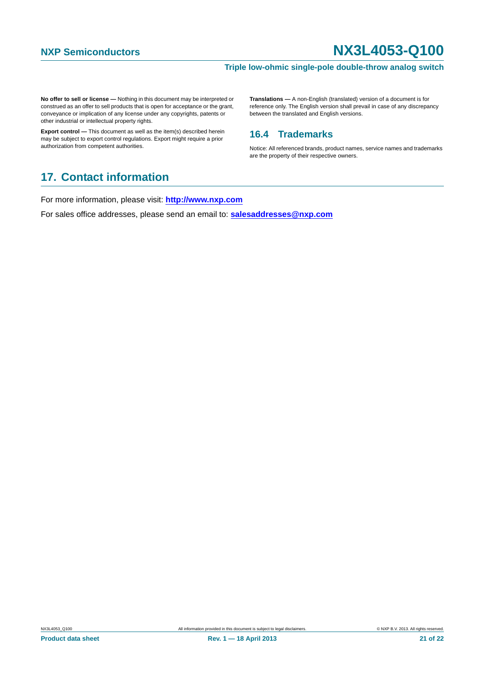#### **Triple low-ohmic single-pole double-throw analog switch**

**No offer to sell or license —** Nothing in this document may be interpreted or construed as an offer to sell products that is open for acceptance or the grant, conveyance or implication of any license under any copyrights, patents or other industrial or intellectual property rights.

**Export control —** This document as well as the item(s) described herein may be subject to export control regulations. Export might require a prior authorization from competent authorities.

**Translations —** A non-English (translated) version of a document is for reference only. The English version shall prevail in case of any discrepancy between the translated and English versions.

### <span id="page-20-0"></span>**16.4 Trademarks**

Notice: All referenced brands, product names, service names and trademarks are the property of their respective owners.

# <span id="page-20-1"></span>**17. Contact information**

For more information, please visit: **http://www.nxp.com**

For sales office addresses, please send an email to: **salesaddresses@nxp.com**